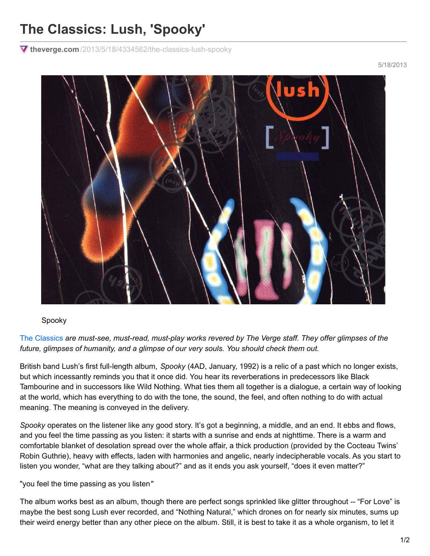## **The Classics: Lush, 'Spooky'**

**theverge.com** [/2013/5/18/4334562/the-classics-lush-spooky](https://www.theverge.com/2013/5/18/4334562/the-classics-lush-spooky)

Spooky

The [Classics](http://www.theverge.com/label/the-classics) *are must-see, must-read, must-play works revered by The Verge staff. They offer glimpses of the future, glimpses of humanity, and a glimpse of our very souls. You should check them out.*

British band Lush's first full-length album, *Spooky* (4AD, January, 1992) is a relic of a past which no longer exists, but which incessantly reminds you that it once did. You hear its reverberations in predecessors like Black Tambourine and in successors like Wild Nothing. What ties them all together is a dialogue, a certain way of looking at the world, which has everything to do with the tone, the sound, the feel, and often nothing to do with actual meaning. The meaning is conveyed in the delivery.

*Spooky* operates on the listener like any good story. It's got a beginning, a middle, and an end. It ebbs and flows, and you feel the time passing as you listen: it starts with a sunrise and ends at nighttime. There is a warm and comfortable blanket of desolation spread over the whole affair, a thick production (provided by the Cocteau Twins' Robin Guthrie), heavy with effects, laden with harmonies and angelic, nearly indecipherable vocals. As you start to listen you wonder, "what are they talking about?" and as it ends you ask yourself, "does it even matter?"

"you feel the time passing as you listen"

The album works best as an album, though there are perfect songs sprinkled like glitter throughout -- "For Love" is maybe the best song Lush ever recorded, and "Nothing Natural," which drones on for nearly six minutes, sums up their weird energy better than any other piece on the album. Still, it is best to take it as a whole organism, to let it